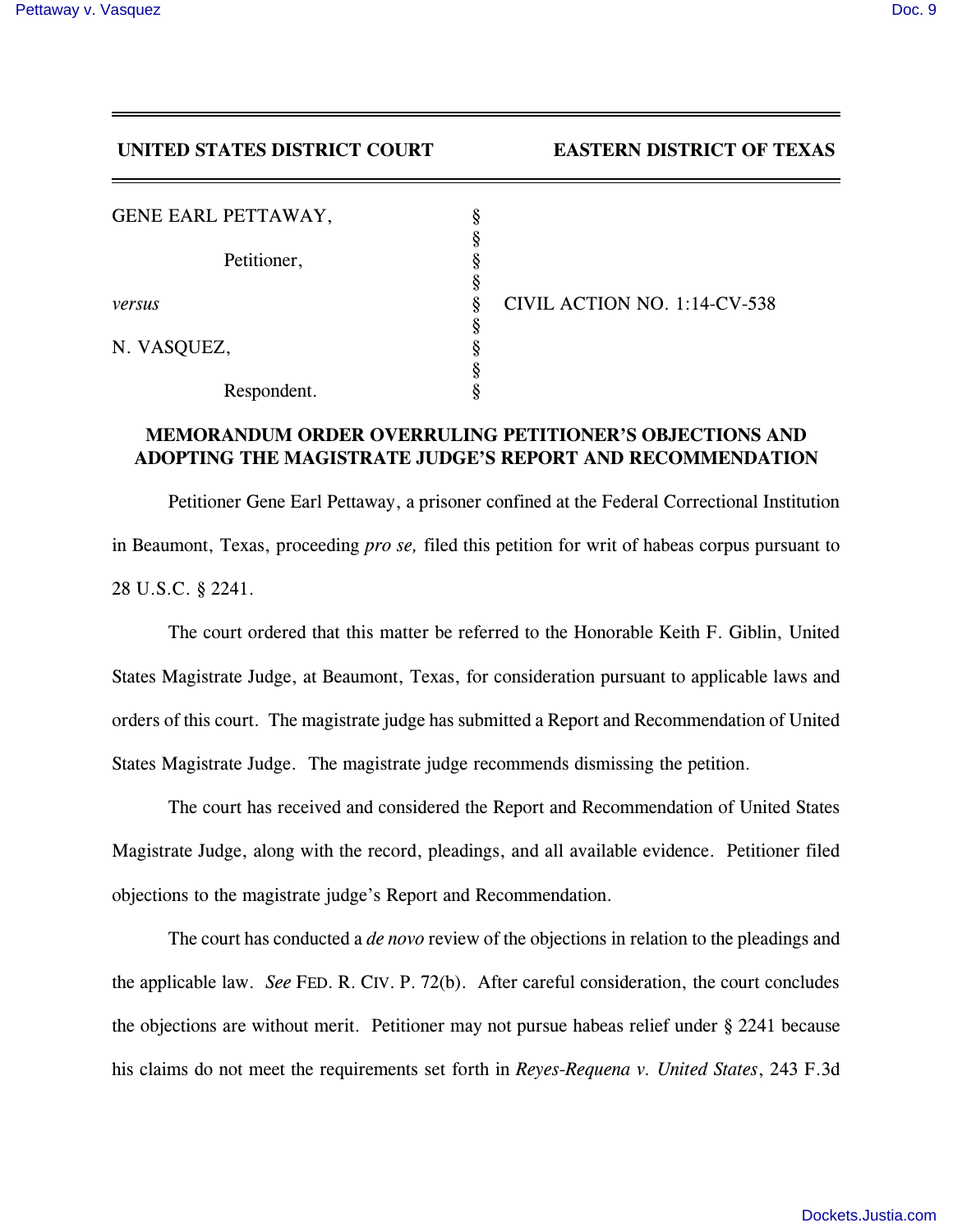## **UNITED STATES DISTRICT COURT EASTERN DISTRICT OF TEXAS**

| GENE EARL PETTAWAY, |   |
|---------------------|---|
| Petitioner,         | 8 |
|                     | Ş |
| versus              | 8 |
|                     |   |
| N. VASQUEZ,         |   |
|                     | 8 |
| Respondent.         |   |

*versus* § CIVIL ACTION NO. 1:14-CV-538

## **MEMORANDUM ORDER OVERRULING PETITIONER'S OBJECTIONS AND ADOPTING THE MAGISTRATE JUDGE'S REPORT AND RECOMMENDATION**

Petitioner Gene Earl Pettaway, a prisoner confined at the Federal Correctional Institution in Beaumont, Texas, proceeding *pro se,* filed this petition for writ of habeas corpus pursuant to 28 U.S.C. § 2241.

The court ordered that this matter be referred to the Honorable Keith F. Giblin, United States Magistrate Judge, at Beaumont, Texas, for consideration pursuant to applicable laws and orders of this court. The magistrate judge has submitted a Report and Recommendation of United States Magistrate Judge. The magistrate judge recommends dismissing the petition.

The court has received and considered the Report and Recommendation of United States Magistrate Judge, along with the record, pleadings, and all available evidence. Petitioner filed objections to the magistrate judge's Report and Recommendation.

The court has conducted a *de novo* review of the objections in relation to the pleadings and the applicable law. *See* FED. R. CIV. P. 72(b). After careful consideration, the court concludes the objections are without merit. Petitioner may not pursue habeas relief under § 2241 because his claims do not meet the requirements set forth in *Reyes-Requena v. United States*, 243 F.3d